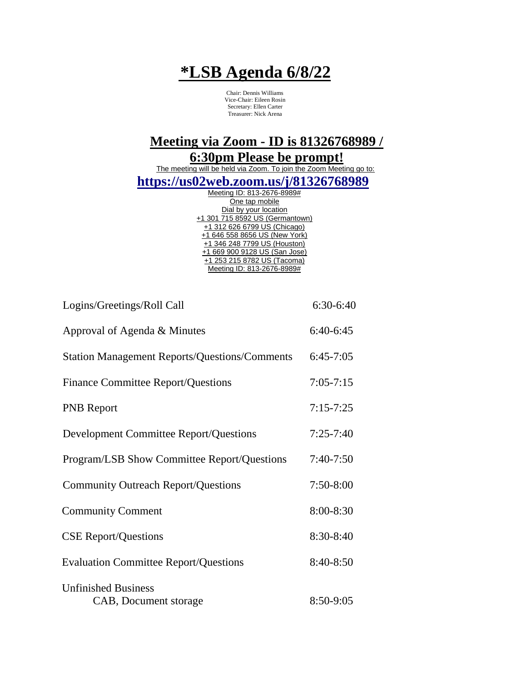## **\*LSB Agenda 6/8/22**

Chair: Dennis Williams Vice-Chair: Eileen Rosin Secretary: Ellen Carter Treasurer: Nick Arena

**Meeting via Zoom - ID is 81326768989 / 6:30pm Please be prompt!**

The meeting will be held via Zoom. To join the Zoom Meeting go to: **https://us02web.zoom.us/j/81326768989**

| Meeting ID: 813-2676-8989#      |
|---------------------------------|
| One tap mobile                  |
| Dial by your location           |
| +1 301 715 8592 US (Germantown) |
| +1 312 626 6799 US (Chicago)    |
| +1 646 558 8656 US (New York)   |
| +1 346 248 7799 US (Houston)    |
| +1 669 900 9128 US (San Jose)   |
| +1 253 215 8782 US (Tacoma)     |
| Meeting ID: 813-2676-8989#      |
|                                 |

| Logins/Greetings/Roll Call                           | $6:30-6:40$   |
|------------------------------------------------------|---------------|
| Approval of Agenda & Minutes                         | $6:40-6:45$   |
| <b>Station Management Reports/Questions/Comments</b> | $6:45-7:05$   |
| <b>Finance Committee Report/Questions</b>            | $7:05 - 7:15$ |
| <b>PNB</b> Report                                    | $7:15 - 7:25$ |
| <b>Development Committee Report/Questions</b>        | $7:25 - 7:40$ |
| <b>Program/LSB Show Committee Report/Questions</b>   | $7:40-7:50$   |
| <b>Community Outreach Report/Questions</b>           | $7:50-8:00$   |
| <b>Community Comment</b>                             | 8:00-8:30     |
| <b>CSE Report/Questions</b>                          | 8:30-8:40     |
| <b>Evaluation Committee Report/Questions</b>         | 8:40-8:50     |
| <b>Unfinished Business</b><br>CAB, Document storage  | 8:50-9:05     |